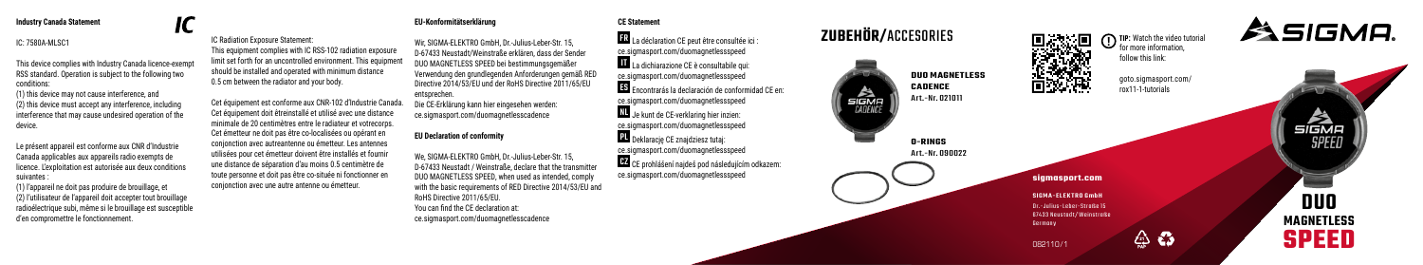### **Industry Canada Statement**

## IC: 7580A-MLSC1

This device complies with Industry Canada licence-exempt RSS standard. Operation is subject to the following two conditions:

(1) this device may not cause interference, and (2) this device must accept any interference, including interference that may cause undesired operation of the device.

Le présent appareil est conforme aux CNR d'Industrie Canada applicables aux appareils radio exempts de licence. L'exploitation est autorisée aux deux conditions suivantes :

(1) l'appareil ne doit pas produire de brouillage, et (2) l'utilisateur de l'appareil doit accepter tout brouillage radioélectrique subi, même si le brouillage est susceptible d'en compromettre le fonctionnement.

**EU-Konformitätserklärung**

IC Radiation Exposure Statement: This equipment complies with IC RSS-102 radiation exposure limit set forth for an uncontrolled environment. This equipment should be installed and operated with minimum distance 0.5 cm between the radiator and your body.

utilisées pour cet émetteur doivent être installés et fournir une distance de séparation d'au moins 0.5 centimètre de toute personne et doit pas être co-située ni fonctionner en conjonction avec une autre antenne ou émetteur.

entsprechen. **EU Declaration of conformity** Cet équipement est conforme aux CNR-102 d'Industrie Canada. Cet équipement doit êtreinstallé et utilisé avec une distance minimale de 20 centimètres entre le radiateur et votrecorps. Cet émetteur ne doit pas être co-localisées ou opérant en conjonction avec autreantenne ou émetteur. Les antennes

> We, SIGMA-ELEKTRO GmbH, Dr.-Julius-Leber-Str. 15, D-67433 Neustadt / Weinstraße, declare that the transmitter DUO MAGNETLESS SPEED, when used as intended, comply with the basic requirements of RED Directive 2014/53/EU and RoHS Directive 2011/65/EU. You can find the CE declaration at:

Wir, SIGMA-ELEKTRO GmbH, Dr.-Julius-Leber-Str. 15, D-67433 Neustadt/Weinstraße erklären, dass der Sender DUO MAGNETLESS SPEED bei bestimmungsgemäßer Verwendung den grundlegenden Anforderungen gemäß RED Directive 2014/53/EU und der RoHS Directive 2011/65/EU Die CE-Erklärung kann hier eingesehen werden: ce.sigmasport.com/duomagnetlesscadence ce.sigmasport.com/duomagnetlesscadence ce.sigmasport.com/duomagnetlessspeed IT La dichiarazione CE è consultabile qui: ce.sigmasport.com/duomagnetlessspeed ce.sigmasport.com/duomagnetlessspeed NL Je kunt de CE-verklaring hier inzien: ce.sigmasport.com/duomagnetlessspeed PL Deklarację CE znajdziesz tutaj: ce.sigmasport.com/duomagnetlessspeed ce.sigmasport.com/duomagnetlessspeed

**CE Statement**